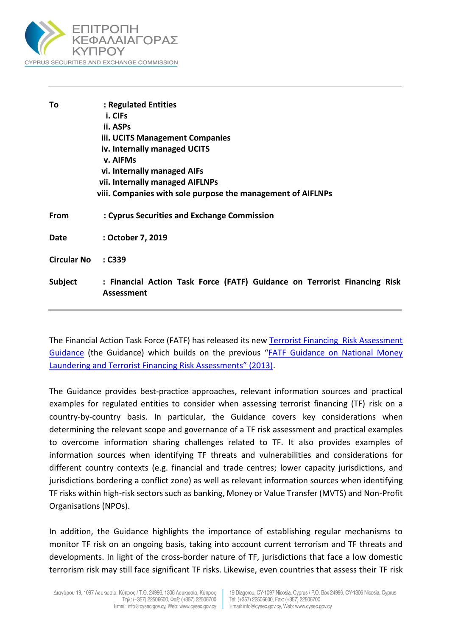

| To                 | : Regulated Entities                                                      |
|--------------------|---------------------------------------------------------------------------|
|                    | i. CIFs                                                                   |
|                    | ii. ASPs                                                                  |
|                    | iii. UCITS Management Companies                                           |
|                    | iv. Internally managed UCITS                                              |
|                    | v. AIFMs                                                                  |
|                    | vi. Internally managed AIFs                                               |
|                    | vii. Internally managed AIFLNPs                                           |
|                    | viii. Companies with sole purpose the management of AIFLNPs               |
|                    |                                                                           |
| From               | : Cyprus Securities and Exchange Commission                               |
|                    |                                                                           |
| Date               | : October 7, 2019                                                         |
|                    |                                                                           |
| <b>Circular No</b> | : C339                                                                    |
|                    |                                                                           |
| Subject            | : Financial Action Task Force (FATF) Guidance on Terrorist Financing Risk |
|                    | Assessment                                                                |
|                    |                                                                           |

The Financial Action Task Force (FATF) has released its new [Terrorist Financing Risk Assessment](https://www.fatf-gafi.org/media/fatf/documents/reports/Terrorist-Financing-Risk-Assessment-Guidance.pdf)  [Guidance](https://www.fatf-gafi.org/media/fatf/documents/reports/Terrorist-Financing-Risk-Assessment-Guidance.pdf) (the Guidance) which builds on the previous "[FATF Guidance on National Money](http://www.fatf-gafi.org/media/fatf/content/images/National_ML_TF_Risk_Assessment.pdf)  [Laundering and Terrorist Financing Risk Assessments" \(2013\)](http://www.fatf-gafi.org/media/fatf/content/images/National_ML_TF_Risk_Assessment.pdf).

The Guidance provides best-practice approaches, relevant information sources and practical examples for regulated entities to consider when assessing terrorist financing (TF) risk on a country-by-country basis. In particular, the Guidance covers key considerations when determining the relevant scope and governance of a TF risk assessment and practical examples to overcome information sharing challenges related to TF. It also provides examples of information sources when identifying TF threats and vulnerabilities and considerations for different country contexts (e.g. financial and trade centres; lower capacity jurisdictions, and jurisdictions bordering a conflict zone) as well as relevant information sources when identifying TF risks within high-risk sectors such as banking, Money or Value Transfer (MVTS) and Non-Profit Organisations (NPOs).

In addition, the Guidance highlights the importance of establishing regular mechanisms to monitor TF risk on an ongoing basis, taking into account current terrorism and TF threats and developments. In light of the cross-border nature of TF, jurisdictions that face a low domestic terrorism risk may still face significant TF risks. Likewise, even countries that assess their TF risk